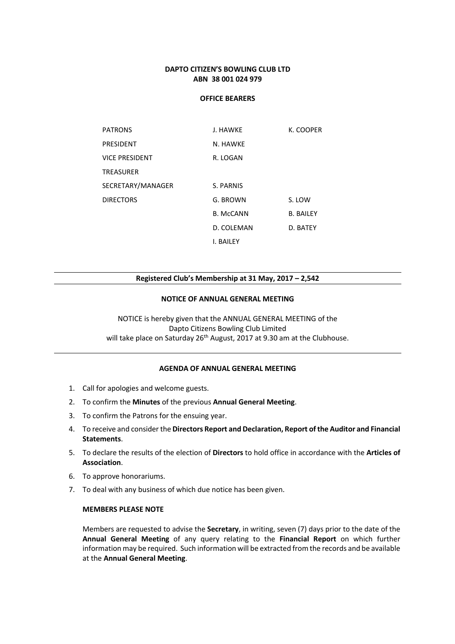#### **DAPTO CITIZEN'S BOWLING CLUB LTD ABN 38 001 024 979**

#### **OFFICE BEARERS**

| <b>PATRONS</b>        | J. HAWKE         | K. COOPER        |
|-----------------------|------------------|------------------|
| PRESIDENT             | N. HAWKE         |                  |
| <b>VICE PRESIDENT</b> | R. LOGAN         |                  |
| <b>TREASURER</b>      |                  |                  |
| SECRETARY/MANAGER     | S. PARNIS        |                  |
| <b>DIRECTORS</b>      | G. BROWN         | S. LOW           |
|                       | <b>B. McCANN</b> | <b>B. BAILEY</b> |
|                       | D. COLEMAN       | D. BATEY         |
|                       | I. BAILEY        |                  |

#### **Registered Club's Membership at 31 May, 2017 – 2,542**

#### **NOTICE OF ANNUAL GENERAL MEETING**

NOTICE is hereby given that the ANNUAL GENERAL MEETING of the Dapto Citizens Bowling Club Limited will take place on Saturday 26<sup>th</sup> August, 2017 at 9.30 am at the Clubhouse.

#### **AGENDA OF ANNUAL GENERAL MEETING**

- 1. Call for apologies and welcome guests.
- 2. To confirm the **Minutes** of the previous **Annual General Meeting**.
- 3. To confirm the Patrons for the ensuing year.
- 4. To receive and consider the **Directors Report and Declaration, Report of the Auditor and Financial Statements**.
- 5. To declare the results of the election of **Directors** to hold office in accordance with the **Articles of Association**.
- 6. To approve honorariums.
- 7. To deal with any business of which due notice has been given.

#### **MEMBERS PLEASE NOTE**

Members are requested to advise the **Secretary**, in writing, seven (7) days prior to the date of the **Annual General Meeting** of any query relating to the **Financial Report** on which further information may be required. Such information will be extracted from the records and be available at the **Annual General Meeting**.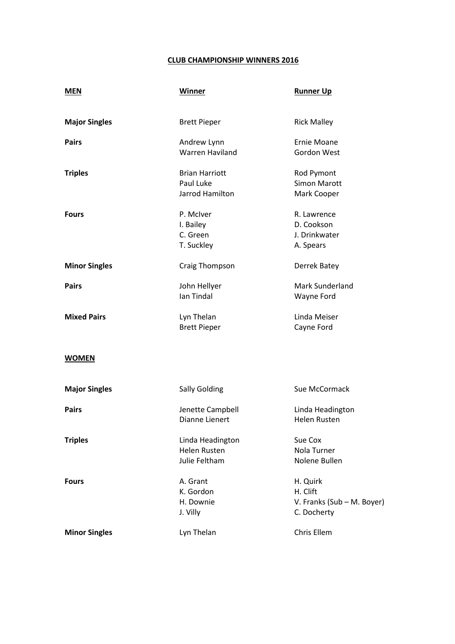#### **CLUB CHAMPIONSHIP WINNERS 2016**

| <b>MEN</b>           | <b>Winner</b>                                            | <b>Runner Up</b>                                                  |
|----------------------|----------------------------------------------------------|-------------------------------------------------------------------|
| <b>Major Singles</b> | <b>Brett Pieper</b>                                      | <b>Rick Malley</b>                                                |
|                      |                                                          |                                                                   |
| <b>Pairs</b>         | Andrew Lynn<br>Warren Haviland                           | Ernie Moane<br>Gordon West                                        |
| <b>Triples</b>       | <b>Brian Harriott</b><br>Paul Luke<br>Jarrod Hamilton    | Rod Pymont<br><b>Simon Marott</b><br>Mark Cooper                  |
| <b>Fours</b>         | P. McIver<br>I. Bailey<br>C. Green<br>T. Suckley         | R. Lawrence<br>D. Cookson<br>J. Drinkwater<br>A. Spears           |
| <b>Minor Singles</b> | Craig Thompson                                           | Derrek Batey                                                      |
| <b>Pairs</b>         | John Hellyer<br>Ian Tindal                               | Mark Sunderland<br>Wayne Ford                                     |
| <b>Mixed Pairs</b>   | Lyn Thelan<br><b>Brett Pieper</b>                        | Linda Meiser<br>Cayne Ford                                        |
| <b>WOMEN</b>         |                                                          |                                                                   |
| <b>Major Singles</b> | <b>Sally Golding</b>                                     | Sue McCormack                                                     |
| <b>Pairs</b>         | Jenette Campbell<br>Dianne Lienert                       | Linda Headington<br><b>Helen Rusten</b>                           |
| <b>Triples</b>       | Linda Headington<br><b>Helen Rusten</b><br>Julie Feltham | Sue Cox<br>Nola Turner<br>Nolene Bullen                           |
| <b>Fours</b>         | A. Grant<br>K. Gordon<br>H. Downie<br>J. Villy           | H. Quirk<br>H. Clift<br>V. Franks (Sub - M. Boyer)<br>C. Docherty |
| <b>Minor Singles</b> | Lyn Thelan                                               | Chris Ellem                                                       |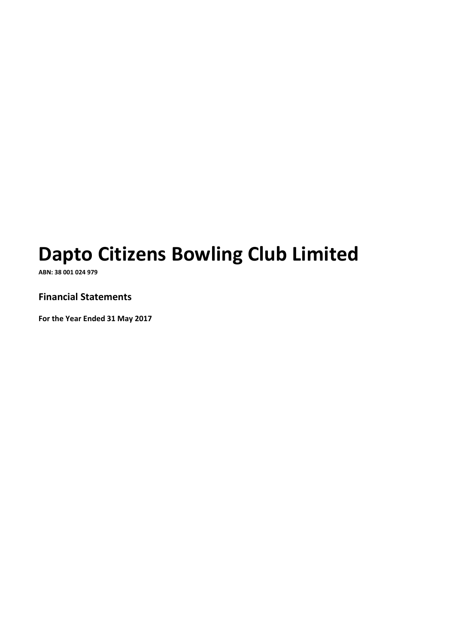**ABN: 38 001 024 979**

**Financial Statements**

**For the Year Ended 31 May 2017**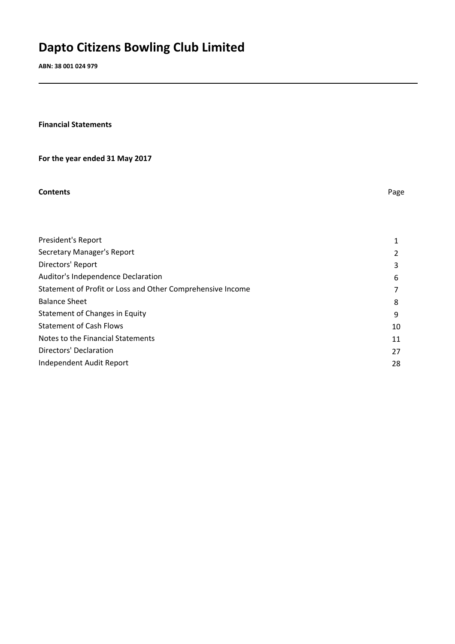**ABN: 38 001 024 979**

#### **Financial Statements**

**For the year ended 31 May 2017**

#### **Contents** Page

| President's Report                                         | 1  |
|------------------------------------------------------------|----|
| Secretary Manager's Report                                 | 2  |
| Directors' Report                                          | 3  |
| Auditor's Independence Declaration                         | 6  |
| Statement of Profit or Loss and Other Comprehensive Income | 7  |
| <b>Balance Sheet</b>                                       | 8  |
| Statement of Changes in Equity                             | 9  |
| <b>Statement of Cash Flows</b>                             | 10 |
| Notes to the Financial Statements                          | 11 |
| Directors' Declaration                                     | 27 |
| Independent Audit Report                                   | 28 |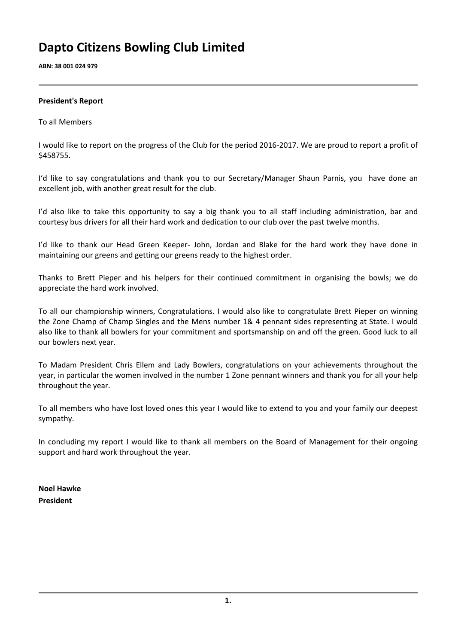**ABN: 38 001 024 979**

#### **President's Report**

To all Members

I would like to report on the progress of the Club for the period 2016-2017. We are proud to report a profit of \$458755.

I'd like to say congratulations and thank you to our Secretary/Manager Shaun Parnis, you have done an excellent job, with another great result for the club.

I'd also like to take this opportunity to say a big thank you to all staff including administration, bar and courtesy bus drivers for all their hard work and dedication to our club over the past twelve months.

I'd like to thank our Head Green Keeper- John, Jordan and Blake for the hard work they have done in maintaining our greens and getting our greens ready to the highest order.

Thanks to Brett Pieper and his helpers for their continued commitment in organising the bowls; we do appreciate the hard work involved.

To all our championship winners, Congratulations. I would also like to congratulate Brett Pieper on winning the Zone Champ of Champ Singles and the Mens number 1& 4 pennant sides representing at State. I would also like to thank all bowlers for your commitment and sportsmanship on and off the green. Good luck to all our bowlers next year.

To Madam President Chris Ellem and Lady Bowlers, congratulations on your achievements throughout the year, in particular the women involved in the number 1 Zone pennant winners and thank you for all your help throughout the year.

To all members who have lost loved ones this year I would like to extend to you and your family our deepest sympathy.

In concluding my report I would like to thank all members on the Board of Management for their ongoing support and hard work throughout the year.

**Noel Hawke President**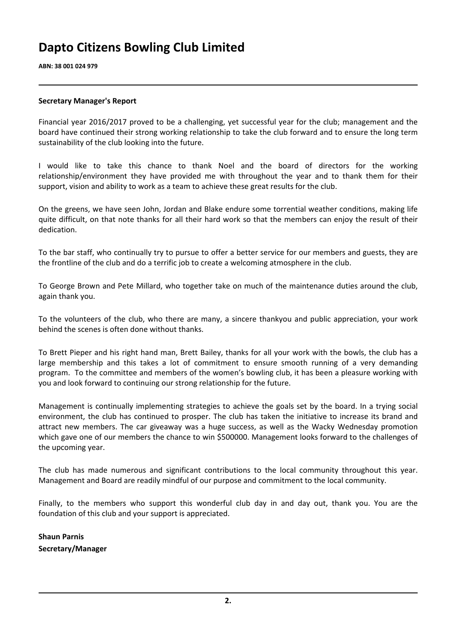**ABN: 38 001 024 979**

#### **Secretary Manager's Report**

Financial year 2016/2017 proved to be a challenging, yet successful year for the club; management and the board have continued their strong working relationship to take the club forward and to ensure the long term sustainability of the club looking into the future.

I would like to take this chance to thank Noel and the board of directors for the working relationship/environment they have provided me with throughout the year and to thank them for their support, vision and ability to work as a team to achieve these great results for the club.

On the greens, we have seen John, Jordan and Blake endure some torrential weather conditions, making life quite difficult, on that note thanks for all their hard work so that the members can enjoy the result of their dedication.

To the bar staff, who continually try to pursue to offer a better service for our members and guests, they are the frontline of the club and do a terrific job to create a welcoming atmosphere in the club.

To George Brown and Pete Millard, who together take on much of the maintenance duties around the club, again thank you.

To the volunteers of the club, who there are many, a sincere thankyou and public appreciation, your work behind the scenes is often done without thanks.

To Brett Pieper and his right hand man, Brett Bailey, thanks for all your work with the bowls, the club has a large membership and this takes a lot of commitment to ensure smooth running of a very demanding program. To the committee and members of the women's bowling club, it has been a pleasure working with you and look forward to continuing our strong relationship for the future.

Management is continually implementing strategies to achieve the goals set by the board. In a trying social environment, the club has continued to prosper. The club has taken the initiative to increase its brand and attract new members. The car giveaway was a huge success, as well as the Wacky Wednesday promotion which gave one of our members the chance to win \$500000. Management looks forward to the challenges of the upcoming year.

The club has made numerous and significant contributions to the local community throughout this year. Management and Board are readily mindful of our purpose and commitment to the local community.

Finally, to the members who support this wonderful club day in and day out, thank you. You are the foundation of this club and your support is appreciated.

**Shaun Parnis Secretary/Manager**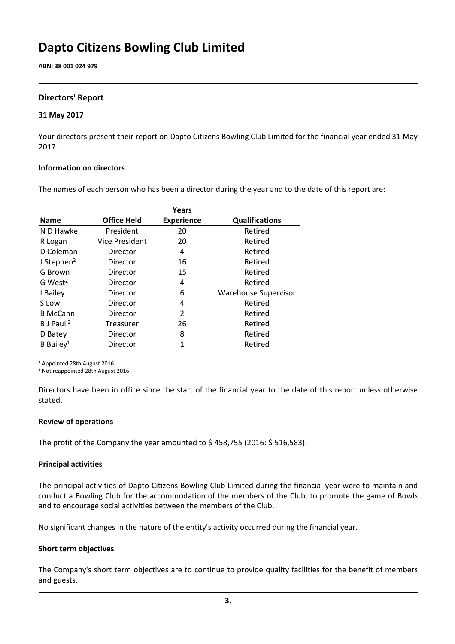**ABN: 38 001 024 979**

# **Directors' Report**

### **31 May 2017**

Your directors present their report on Dapto Citizens Bowling Club Limited for the financial year ended 31 May 2017.

#### **Information on directors**

The names of each person who has been a director during the year and to the date of this report are:

|                          |                    | Years             |                             |
|--------------------------|--------------------|-------------------|-----------------------------|
| <b>Name</b>              | <b>Office Held</b> | <b>Experience</b> | <b>Qualifications</b>       |
| N D Hawke                | President          | 20                | Retired                     |
| R Logan                  | Vice President     | 20                | Retired                     |
| D Coleman                | Director           | 4                 | Retired                     |
| J Stephen <sup>2</sup>   | Director           | 16                | Retired                     |
| G Brown                  | Director           | 15                | Retired                     |
| $G$ West <sup>2</sup>    | Director           | 4                 | Retired                     |
| I Bailey                 | Director           | 6                 | <b>Warehouse Supervisor</b> |
| S Low                    | Director           | 4                 | Retired                     |
| <b>B</b> McCann          | Director           | 2                 | Retired                     |
| $B$ J Paull <sup>2</sup> | <b>Treasurer</b>   | 26                | Retired                     |
| D Batey                  | Director           | 8                 | Retired                     |
| B Bailey <sup>1</sup>    | Director           | 1                 | Retired                     |

1 Appointed 28th August 2016

2 Not reappointed 28th August 2016

Directors have been in office since the start of the financial year to the date of this report unless otherwise stated.

#### **Review of operations**

The profit of the Company the year amounted to \$458,755 (2016: \$516,583).

# **Principal activities**

The principal activities of Dapto Citizens Bowling Club Limited during the financial year were to maintain and conduct a Bowling Club for the accommodation of the members of the Club, to promote the game of Bowls and to encourage social activities between the members of the Club.

No significant changes in the nature of the entity's activity occurred during the financial year.

# **Short term objectives**

The Company's short term objectives are to continue to provide quality facilities for the benefit of members and guests.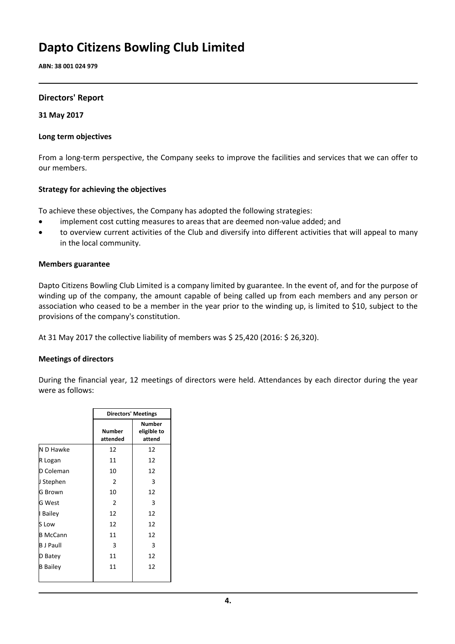**ABN: 38 001 024 979**

### **Directors' Report**

#### **31 May 2017**

#### **Long term objectives**

From a long-term perspective, the Company seeks to improve the facilities and services that we can offer to our members.

#### **Strategy for achieving the objectives**

To achieve these objectives, the Company has adopted the following strategies:

- implement cost cutting measures to areas that are deemed non-value added; and
- to overview current activities of the Club and diversify into different activities that will appeal to many in the local community.

#### **Members guarantee**

Dapto Citizens Bowling Club Limited is a company limited by guarantee. In the event of, and for the purpose of winding up of the company, the amount capable of being called up from each members and any person or association who ceased to be a member in the year prior to the winding up, is limited to \$10, subject to the provisions of the company's constitution.

At 31 May 2017 the collective liability of members was \$ 25,420 (2016: \$ 26,320).

#### **Meetings of directors**

During the financial year, 12 meetings of directors were held. Attendances by each director during the year were as follows:

|                           | <b>Number</b>         |
|---------------------------|-----------------------|
| <b>Number</b><br>attended | eligible to<br>attend |
| 12                        | 12                    |
| 11                        | 12                    |
| 10                        | 12                    |
| $\overline{2}$            | 3                     |
| 10                        | 12                    |
| $\mathfrak{p}$            | 3                     |
| 12                        | 12                    |
| 12                        | 12                    |
| 11                        | 12                    |
| 3                         | 3                     |
| 11                        | 12                    |
| 11                        | 12                    |
|                           |                       |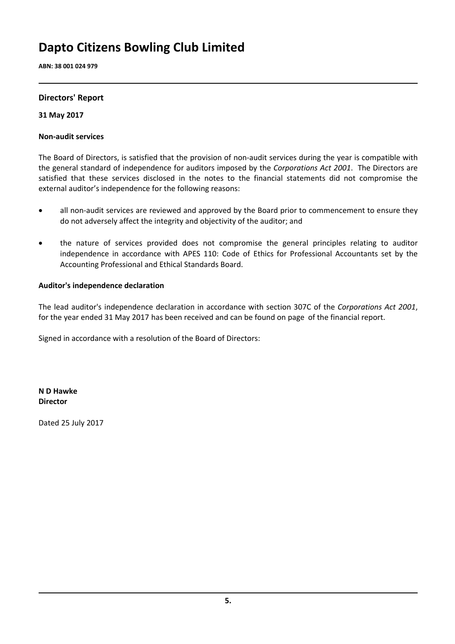**ABN: 38 001 024 979**

# **Directors' Report**

# **31 May 2017**

#### **Non-audit services**

The Board of Directors, is satisfied that the provision of non-audit services during the year is compatible with the general standard of independence for auditors imposed by the *Corporations Act 2001*. The Directors are satisfied that these services disclosed in the notes to the financial statements did not compromise the external auditor's independence for the following reasons:

- all non-audit services are reviewed and approved by the Board prior to commencement to ensure they do not adversely affect the integrity and objectivity of the auditor; and
- the nature of services provided does not compromise the general principles relating to auditor independence in accordance with APES 110: Code of Ethics for Professional Accountants set by the Accounting Professional and Ethical Standards Board.

#### **Auditor's independence declaration**

The lead auditor's independence declaration in accordance with section 307C of the *Corporations Act 2001*, for the year ended 31 May 2017 has been received and can be found on page of the financial report.

Signed in accordance with a resolution of the Board of Directors:

**N D Hawke Director**

Dated 25 July 2017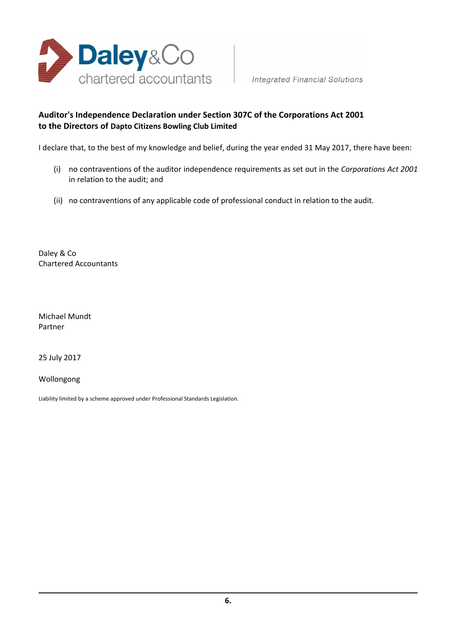

# **Auditor's Independence Declaration under Section 307C of the Corporations Act 2001 to the Directors of Dapto Citizens Bowling Club Limited**

I declare that, to the best of my knowledge and belief, during the year ended 31 May 2017, there have been:

- (i) no contraventions of the auditor independence requirements as set out in the *Corporations Act 2001* in relation to the audit; and
- (ii) no contraventions of any applicable code of professional conduct in relation to the audit.

Daley & Co Chartered Accountants

Michael Mundt Partner

25 July 2017

Wollongong

Liability limited by a scheme approved under Professional Standards Legislation.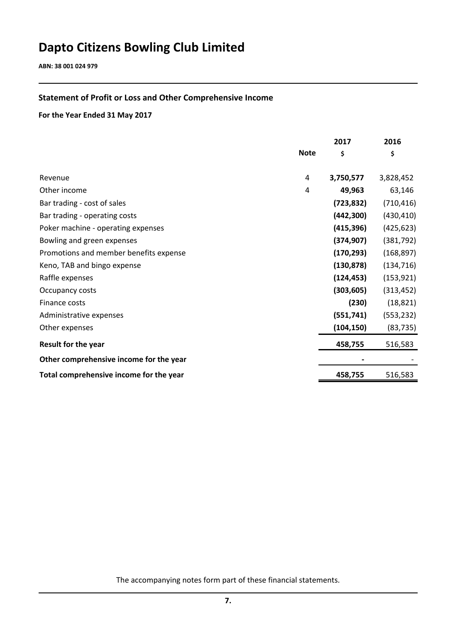**ABN: 38 001 024 979**

# **Statement of Profit or Loss and Other Comprehensive Income**

# **For the Year Ended 31 May 2017**

|                                         |             | 2017       | 2016       |
|-----------------------------------------|-------------|------------|------------|
|                                         | <b>Note</b> | \$         | \$         |
| Revenue                                 | 4           | 3,750,577  | 3,828,452  |
| Other income                            | 4           | 49,963     | 63,146     |
| Bar trading - cost of sales             |             | (723, 832) | (710, 416) |
| Bar trading - operating costs           |             | (442, 300) | (430, 410) |
| Poker machine - operating expenses      |             | (415, 396) | (425, 623) |
| Bowling and green expenses              |             | (374, 907) | (381, 792) |
| Promotions and member benefits expense  |             | (170, 293) | (168, 897) |
| Keno, TAB and bingo expense             |             | (130, 878) | (134, 716) |
| Raffle expenses                         |             | (124, 453) | (153, 921) |
| Occupancy costs                         |             | (303, 605) | (313, 452) |
| Finance costs                           |             | (230)      | (18, 821)  |
| Administrative expenses                 |             | (551, 741) | (553, 232) |
| Other expenses                          |             | (104, 150) | (83, 735)  |
| <b>Result for the year</b>              |             | 458,755    | 516,583    |
| Other comprehensive income for the year |             |            |            |
| Total comprehensive income for the year |             | 458,755    | 516,583    |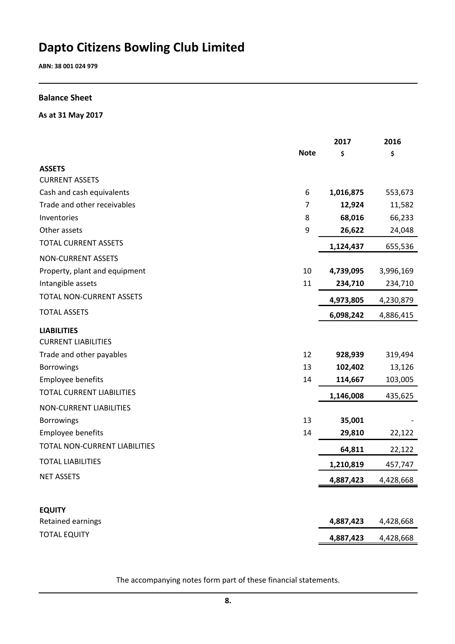**ABN: 38 001 024 979**

# **Balance Sheet**

**As at 31 May 2017**

|                                  |             | 2017      | 2016      |
|----------------------------------|-------------|-----------|-----------|
|                                  | <b>Note</b> | \$        | \$        |
| <b>ASSETS</b>                    |             |           |           |
| <b>CURRENT ASSETS</b>            |             |           |           |
| Cash and cash equivalents        | 6           | 1,016,875 | 553,673   |
| Trade and other receivables      | 7           | 12,924    | 11,582    |
| Inventories                      | 8           | 68,016    | 66,233    |
| Other assets                     | 9           | 26,622    | 24,048    |
| <b>TOTAL CURRENT ASSETS</b>      |             | 1,124,437 | 655,536   |
| NON-CURRENT ASSETS               |             |           |           |
| Property, plant and equipment    | 10          | 4,739,095 | 3,996,169 |
| Intangible assets                | 11          | 234,710   | 234,710   |
| TOTAL NON-CURRENT ASSETS         |             | 4,973,805 | 4,230,879 |
| <b>TOTAL ASSETS</b>              |             | 6,098,242 | 4,886,415 |
| <b>LIABILITIES</b>               |             |           |           |
| <b>CURRENT LIABILITIES</b>       |             |           |           |
| Trade and other payables         | 12          | 928,939   | 319,494   |
| <b>Borrowings</b>                | 13          | 102,402   | 13,126    |
| Employee benefits                | 14          | 114,667   | 103,005   |
| <b>TOTAL CURRENT LIABILITIES</b> |             | 1,146,008 | 435,625   |
| <b>NON-CURRENT LIABILITIES</b>   |             |           |           |
| <b>Borrowings</b>                | 13          | 35,001    |           |
| Employee benefits                | 14          | 29,810    | 22,122    |
| TOTAL NON-CURRENT LIABILITIES    |             | 64,811    | 22,122    |
| <b>TOTAL LIABILITIES</b>         |             | 1,210,819 | 457,747   |
| <b>NET ASSETS</b>                |             | 4,887,423 | 4,428,668 |
|                                  |             |           |           |
| <b>EQUITY</b>                    |             |           |           |
| <b>Retained earnings</b>         |             | 4,887,423 | 4,428,668 |
| <b>TOTAL EQUITY</b>              |             | 4,887,423 | 4,428,668 |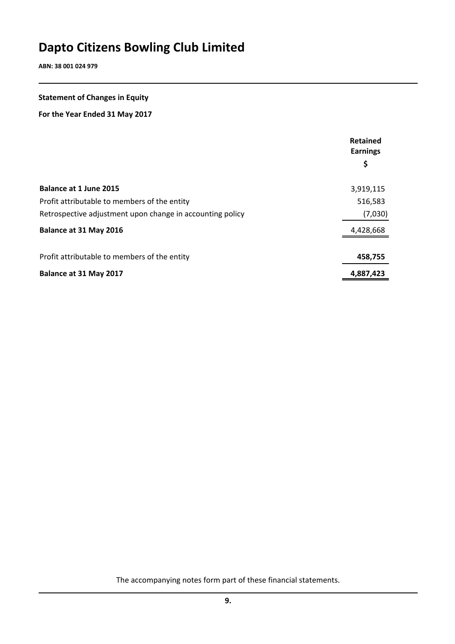**ABN: 38 001 024 979**

# **Statement of Changes in Equity**

**For the Year Ended 31 May 2017**

|                                                           | <b>Retained</b><br><b>Earnings</b> |
|-----------------------------------------------------------|------------------------------------|
|                                                           | \$                                 |
| Balance at 1 June 2015                                    | 3,919,115                          |
| Profit attributable to members of the entity              | 516,583                            |
| Retrospective adjustment upon change in accounting policy | (7,030)                            |
| Balance at 31 May 2016                                    | 4,428,668                          |
|                                                           |                                    |
| Profit attributable to members of the entity              | 458,755                            |
| Balance at 31 May 2017                                    | 4,887,423                          |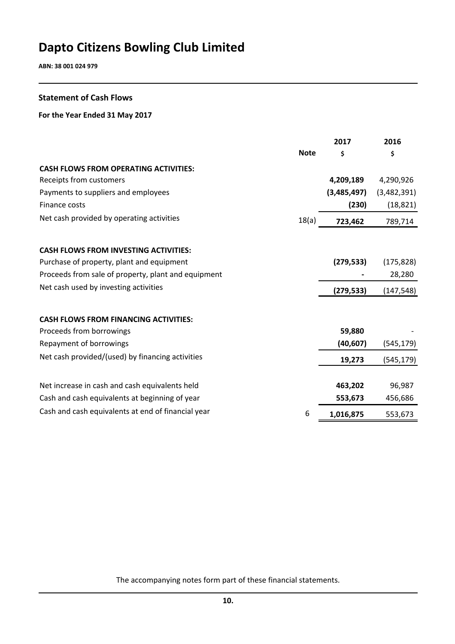**ABN: 38 001 024 979**

# **Statement of Cash Flows**

### **For the Year Ended 31 May 2017**

|                                                     | <b>Note</b> | 2017<br>\$  | 2016<br>\$  |
|-----------------------------------------------------|-------------|-------------|-------------|
| <b>CASH FLOWS FROM OPERATING ACTIVITIES:</b>        |             |             |             |
| Receipts from customers                             |             | 4,209,189   | 4,290,926   |
| Payments to suppliers and employees                 |             | (3,485,497) | (3,482,391) |
| Finance costs                                       |             | (230)       | (18, 821)   |
| Net cash provided by operating activities           | 18(a)       | 723,462     | 789,714     |
| <b>CASH FLOWS FROM INVESTING ACTIVITIES:</b>        |             |             |             |
| Purchase of property, plant and equipment           |             | (279, 533)  | (175, 828)  |
| Proceeds from sale of property, plant and equipment |             |             | 28,280      |
| Net cash used by investing activities               |             | (279, 533)  | (147, 548)  |
| <b>CASH FLOWS FROM FINANCING ACTIVITIES:</b>        |             |             |             |
| Proceeds from borrowings                            |             | 59,880      |             |
| Repayment of borrowings                             |             | (40,607)    | (545, 179)  |
| Net cash provided/(used) by financing activities    |             | 19,273      | (545, 179)  |
| Net increase in cash and cash equivalents held      |             | 463,202     | 96,987      |
| Cash and cash equivalents at beginning of year      |             | 553,673     | 456,686     |
| Cash and cash equivalents at end of financial year  | 6           | 1,016,875   | 553,673     |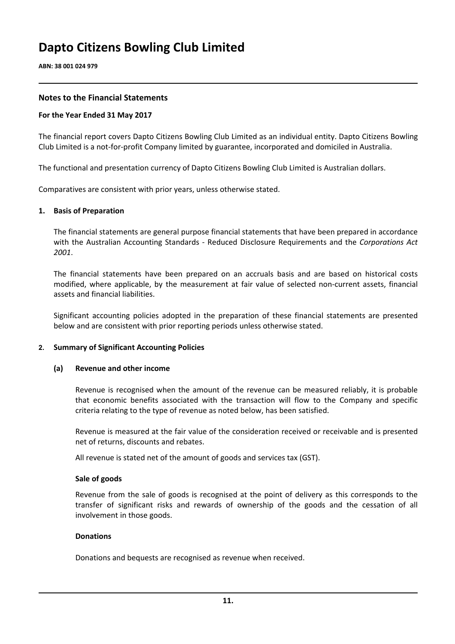**ABN: 38 001 024 979**

# **Notes to the Financial Statements**

### **For the Year Ended 31 May 2017**

The financial report covers Dapto Citizens Bowling Club Limited as an individual entity. Dapto Citizens Bowling Club Limited is a not-for-profit Company limited by guarantee, incorporated and domiciled in Australia.

The functional and presentation currency of Dapto Citizens Bowling Club Limited is Australian dollars.

Comparatives are consistent with prior years, unless otherwise stated.

#### **1. Basis of Preparation**

The financial statements are general purpose financial statements that have been prepared in accordance with the Australian Accounting Standards - Reduced Disclosure Requirements and the *Corporations Act 2001*.

The financial statements have been prepared on an accruals basis and are based on historical costs modified, where applicable, by the measurement at fair value of selected non-current assets, financial assets and financial liabilities.

Significant accounting policies adopted in the preparation of these financial statements are presented below and are consistent with prior reporting periods unless otherwise stated.

#### **2. Summary of Significant Accounting Policies**

#### **(a) Revenue and other income**

Revenue is recognised when the amount of the revenue can be measured reliably, it is probable that economic benefits associated with the transaction will flow to the Company and specific criteria relating to the type of revenue as noted below, has been satisfied.

Revenue is measured at the fair value of the consideration received or receivable and is presented net of returns, discounts and rebates.

All revenue is stated net of the amount of goods and services tax (GST).

#### **Sale of goods**

Revenue from the sale of goods is recognised at the point of delivery as this corresponds to the transfer of significant risks and rewards of ownership of the goods and the cessation of all involvement in those goods.

#### **Donations**

Donations and bequests are recognised as revenue when received.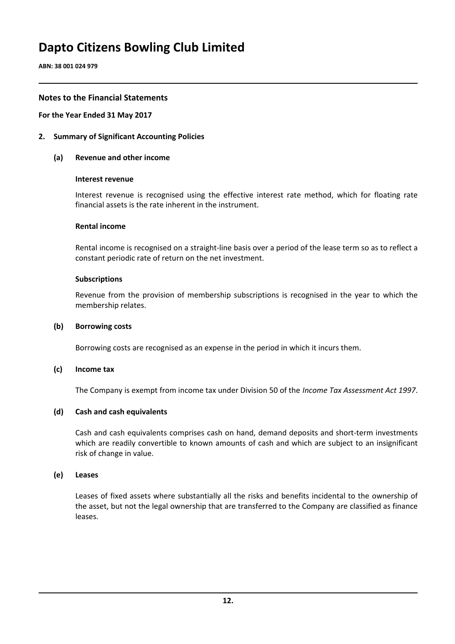**ABN: 38 001 024 979**

# **Notes to the Financial Statements**

#### **For the Year Ended 31 May 2017**

#### **2. Summary of Significant Accounting Policies**

#### **(a) Revenue and other income**

#### **Interest revenue**

Interest revenue is recognised using the effective interest rate method, which for floating rate financial assets is the rate inherent in the instrument.

#### **Rental income**

Rental income is recognised on a straight-line basis over a period of the lease term so as to reflect a constant periodic rate of return on the net investment.

#### **Subscriptions**

Revenue from the provision of membership subscriptions is recognised in the year to which the membership relates.

#### **(b) Borrowing costs**

Borrowing costs are recognised as an expense in the period in which it incurs them.

#### **(c) Income tax**

The Company is exempt from income tax under Division 50 of the *Income Tax Assessment Act 1997*.

# **(d) Cash and cash equivalents**

Cash and cash equivalents comprises cash on hand, demand deposits and short-term investments which are readily convertible to known amounts of cash and which are subject to an insignificant risk of change in value.

# **(e) Leases**

Leases of fixed assets where substantially all the risks and benefits incidental to the ownership of the asset, but not the legal ownership that are transferred to the Company are classified as finance leases.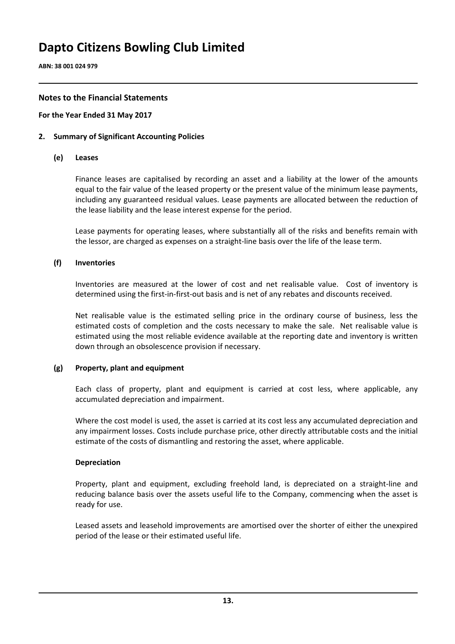**ABN: 38 001 024 979**

# **Notes to the Financial Statements**

### **For the Year Ended 31 May 2017**

### **2. Summary of Significant Accounting Policies**

#### **(e) Leases**

Finance leases are capitalised by recording an asset and a liability at the lower of the amounts equal to the fair value of the leased property or the present value of the minimum lease payments, including any guaranteed residual values. Lease payments are allocated between the reduction of the lease liability and the lease interest expense for the period.

Lease payments for operating leases, where substantially all of the risks and benefits remain with the lessor, are charged as expenses on a straight-line basis over the life of the lease term.

#### **(f) Inventories**

Inventories are measured at the lower of cost and net realisable value. Cost of inventory is determined using the first-in-first-out basis and is net of any rebates and discounts received.

Net realisable value is the estimated selling price in the ordinary course of business, less the estimated costs of completion and the costs necessary to make the sale. Net realisable value is estimated using the most reliable evidence available at the reporting date and inventory is written down through an obsolescence provision if necessary.

# **(g) Property, plant and equipment**

Each class of property, plant and equipment is carried at cost less, where applicable, any accumulated depreciation and impairment.

Where the cost model is used, the asset is carried at its cost less any accumulated depreciation and any impairment losses. Costs include purchase price, other directly attributable costs and the initial estimate of the costs of dismantling and restoring the asset, where applicable.

#### **Depreciation**

Property, plant and equipment, excluding freehold land, is depreciated on a straight-line and reducing balance basis over the assets useful life to the Company, commencing when the asset is ready for use.

Leased assets and leasehold improvements are amortised over the shorter of either the unexpired period of the lease or their estimated useful life.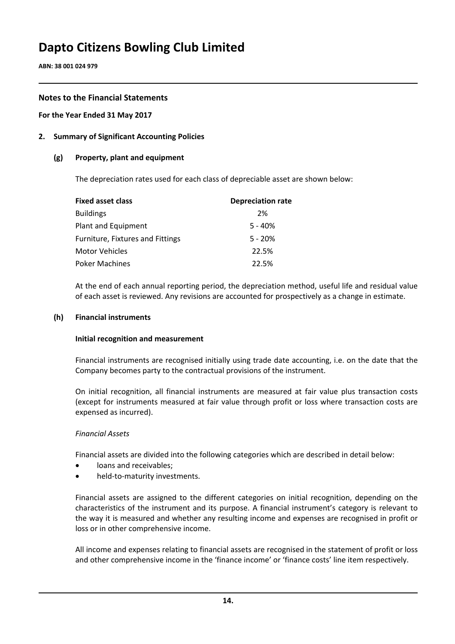**ABN: 38 001 024 979**

# **Notes to the Financial Statements**

### **For the Year Ended 31 May 2017**

### **2. Summary of Significant Accounting Policies**

#### **(g) Property, plant and equipment**

The depreciation rates used for each class of depreciable asset are shown below:

| <b>Fixed asset class</b>         | <b>Depreciation rate</b> |  |  |
|----------------------------------|--------------------------|--|--|
| <b>Buildings</b>                 | 2%                       |  |  |
| Plant and Equipment              | $5 - 40%$                |  |  |
| Furniture, Fixtures and Fittings | $5 - 20%$                |  |  |
| Motor Vehicles                   | 22.5%                    |  |  |
| Poker Machines                   | 22.5%                    |  |  |

At the end of each annual reporting period, the depreciation method, useful life and residual value of each asset is reviewed. Any revisions are accounted for prospectively as a change in estimate.

#### **(h) Financial instruments**

#### **Initial recognition and measurement**

Financial instruments are recognised initially using trade date accounting, i.e. on the date that the Company becomes party to the contractual provisions of the instrument.

On initial recognition, all financial instruments are measured at fair value plus transaction costs (except for instruments measured at fair value through profit or loss where transaction costs are expensed as incurred).

#### *Financial Assets*

Financial assets are divided into the following categories which are described in detail below:

- loans and receivables:
- held-to-maturity investments.

Financial assets are assigned to the different categories on initial recognition, depending on the characteristics of the instrument and its purpose. A financial instrument's category is relevant to the way it is measured and whether any resulting income and expenses are recognised in profit or loss or in other comprehensive income.

All income and expenses relating to financial assets are recognised in the statement of profit or loss and other comprehensive income in the 'finance income' or 'finance costs' line item respectively.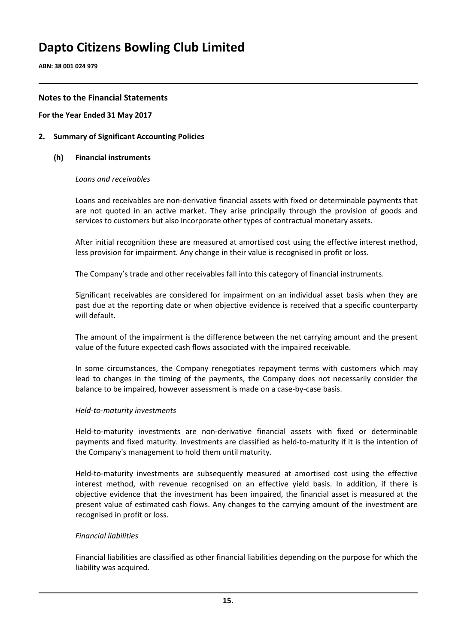**ABN: 38 001 024 979**

# **Notes to the Financial Statements**

### **For the Year Ended 31 May 2017**

### **2. Summary of Significant Accounting Policies**

#### **(h) Financial instruments**

#### *Loans and receivables*

Loans and receivables are non-derivative financial assets with fixed or determinable payments that are not quoted in an active market. They arise principally through the provision of goods and services to customers but also incorporate other types of contractual monetary assets.

After initial recognition these are measured at amortised cost using the effective interest method, less provision for impairment. Any change in their value is recognised in profit or loss.

The Company's trade and other receivables fall into this category of financial instruments.

Significant receivables are considered for impairment on an individual asset basis when they are past due at the reporting date or when objective evidence is received that a specific counterparty will default.

The amount of the impairment is the difference between the net carrying amount and the present value of the future expected cash flows associated with the impaired receivable.

In some circumstances, the Company renegotiates repayment terms with customers which may lead to changes in the timing of the payments, the Company does not necessarily consider the balance to be impaired, however assessment is made on a case-by-case basis.

#### *Held-to-maturity investments*

Held-to-maturity investments are non-derivative financial assets with fixed or determinable payments and fixed maturity. Investments are classified as held-to-maturity if it is the intention of the Company's management to hold them until maturity.

Held-to-maturity investments are subsequently measured at amortised cost using the effective interest method, with revenue recognised on an effective yield basis. In addition, if there is objective evidence that the investment has been impaired, the financial asset is measured at the present value of estimated cash flows. Any changes to the carrying amount of the investment are recognised in profit or loss.

#### *Financial liabilities*

Financial liabilities are classified as other financial liabilities depending on the purpose for which the liability was acquired.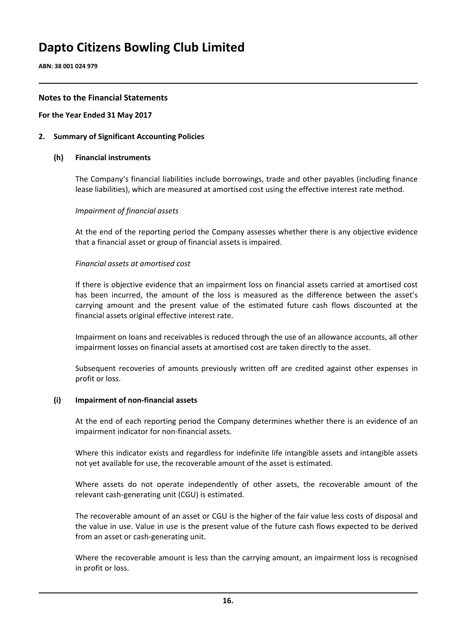**ABN: 38 001 024 979**

# **Notes to the Financial Statements**

### **For the Year Ended 31 May 2017**

#### **2. Summary of Significant Accounting Policies**

#### **(h) Financial instruments**

The Company's financial liabilities include borrowings, trade and other payables (including finance lease liabilities), which are measured at amortised cost using the effective interest rate method.

#### *Impairment of financial assets*

At the end of the reporting period the Company assesses whether there is any objective evidence that a financial asset or group of financial assets is impaired.

#### *Financial assets at amortised cost*

If there is objective evidence that an impairment loss on financial assets carried at amortised cost has been incurred, the amount of the loss is measured as the difference between the asset's carrying amount and the present value of the estimated future cash flows discounted at the financial assets original effective interest rate.

Impairment on loans and receivables is reduced through the use of an allowance accounts, all other impairment losses on financial assets at amortised cost are taken directly to the asset.

Subsequent recoveries of amounts previously written off are credited against other expenses in profit or loss.

#### **(i) Impairment of non-financial assets**

At the end of each reporting period the Company determines whether there is an evidence of an impairment indicator for non-financial assets.

Where this indicator exists and regardless for indefinite life intangible assets and intangible assets not yet available for use, the recoverable amount of the asset is estimated.

Where assets do not operate independently of other assets, the recoverable amount of the relevant cash-generating unit (CGU) is estimated.

The recoverable amount of an asset or CGU is the higher of the fair value less costs of disposal and the value in use. Value in use is the present value of the future cash flows expected to be derived from an asset or cash-generating unit.

Where the recoverable amount is less than the carrying amount, an impairment loss is recognised in profit or loss.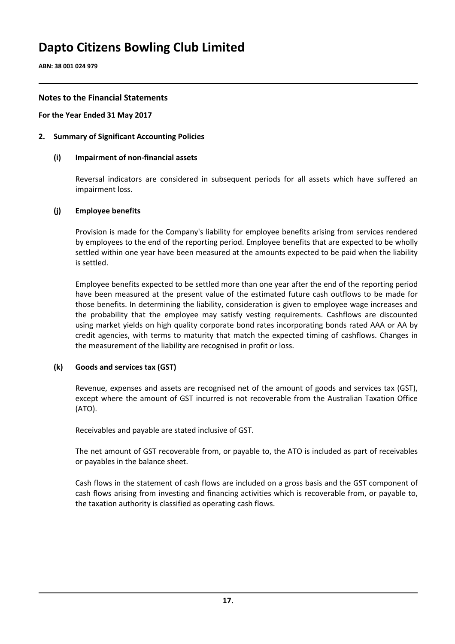**ABN: 38 001 024 979**

# **Notes to the Financial Statements**

### **For the Year Ended 31 May 2017**

### **2. Summary of Significant Accounting Policies**

#### **(i) Impairment of non-financial assets**

Reversal indicators are considered in subsequent periods for all assets which have suffered an impairment loss.

#### **(j) Employee benefits**

Provision is made for the Company's liability for employee benefits arising from services rendered by employees to the end of the reporting period. Employee benefits that are expected to be wholly settled within one year have been measured at the amounts expected to be paid when the liability is settled.

Employee benefits expected to be settled more than one year after the end of the reporting period have been measured at the present value of the estimated future cash outflows to be made for those benefits. In determining the liability, consideration is given to employee wage increases and the probability that the employee may satisfy vesting requirements. Cashflows are discounted using market yields on high quality corporate bond rates incorporating bonds rated AAA or AA by credit agencies, with terms to maturity that match the expected timing of cashflows. Changes in the measurement of the liability are recognised in profit or loss.

# **(k) Goods and services tax (GST)**

Revenue, expenses and assets are recognised net of the amount of goods and services tax (GST), except where the amount of GST incurred is not recoverable from the Australian Taxation Office (ATO).

Receivables and payable are stated inclusive of GST.

The net amount of GST recoverable from, or payable to, the ATO is included as part of receivables or payables in the balance sheet.

Cash flows in the statement of cash flows are included on a gross basis and the GST component of cash flows arising from investing and financing activities which is recoverable from, or payable to, the taxation authority is classified as operating cash flows.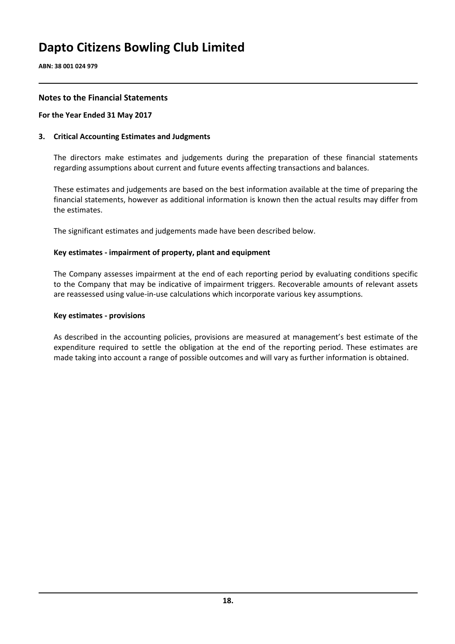**ABN: 38 001 024 979**

# **Notes to the Financial Statements**

### **For the Year Ended 31 May 2017**

#### **3. Critical Accounting Estimates and Judgments**

The directors make estimates and judgements during the preparation of these financial statements regarding assumptions about current and future events affecting transactions and balances.

These estimates and judgements are based on the best information available at the time of preparing the financial statements, however as additional information is known then the actual results may differ from the estimates.

The significant estimates and judgements made have been described below.

#### **Key estimates - impairment of property, plant and equipment**

The Company assesses impairment at the end of each reporting period by evaluating conditions specific to the Company that may be indicative of impairment triggers. Recoverable amounts of relevant assets are reassessed using value-in-use calculations which incorporate various key assumptions.

#### **Key estimates - provisions**

As described in the accounting policies, provisions are measured at management's best estimate of the expenditure required to settle the obligation at the end of the reporting period. These estimates are made taking into account a range of possible outcomes and will vary as further information is obtained.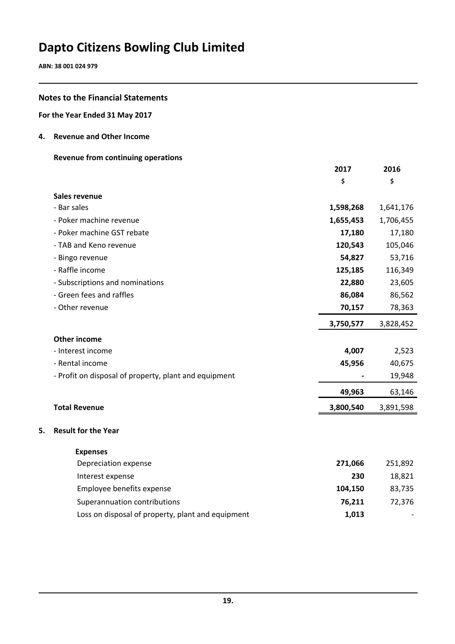**ABN: 38 001 024 979**

# **Notes to the Financial Statements**

# **For the Year Ended 31 May 2017**

**4. Revenue and Other Income**

**Revenue from continuing operations**

|                                                       | 2017      | 2016      |
|-------------------------------------------------------|-----------|-----------|
|                                                       | \$        | \$        |
| Sales revenue                                         |           |           |
| - Bar sales                                           | 1,598,268 | 1,641,176 |
| - Poker machine revenue                               | 1,655,453 | 1,706,455 |
| - Poker machine GST rebate                            | 17,180    | 17,180    |
| - TAB and Keno revenue                                | 120,543   | 105,046   |
| - Bingo revenue                                       | 54,827    | 53,716    |
| - Raffle income                                       | 125,185   | 116,349   |
| - Subscriptions and nominations                       | 22,880    | 23,605    |
| - Green fees and raffles                              | 86,084    | 86,562    |
| - Other revenue                                       | 70,157    | 78,363    |
|                                                       | 3,750,577 | 3,828,452 |
| <b>Other income</b>                                   |           |           |
| - Interest income                                     | 4,007     | 2,523     |
| - Rental income                                       | 45,956    | 40,675    |
| - Profit on disposal of property, plant and equipment |           | 19,948    |
|                                                       | 49,963    | 63,146    |
| <b>Total Revenue</b>                                  | 3,800,540 | 3,891,598 |
| 5.<br><b>Result for the Year</b>                      |           |           |
| <b>Expenses</b>                                       |           |           |
| Depreciation expense                                  | 271,066   | 251,892   |
| Interest expense                                      | 230       | 18,821    |
| Employee benefits expense                             | 104,150   | 83,735    |
| Superannuation contributions                          | 76,211    | 72,376    |
| Loss on disposal of property, plant and equipment     | 1,013     |           |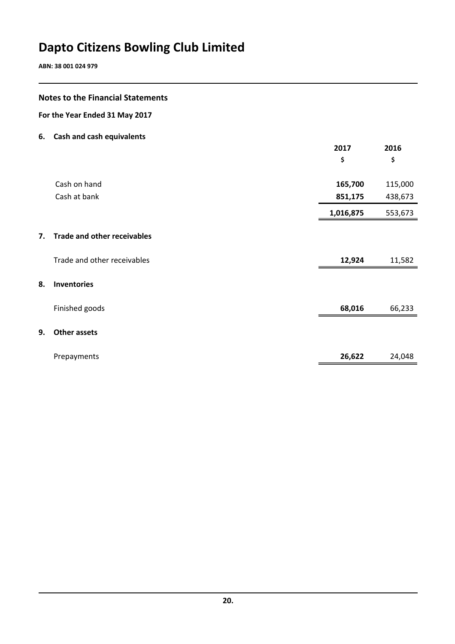**ABN: 38 001 024 979**

# **Notes to the Financial Statements**

# **For the Year Ended 31 May 2017**

**6. Cash and cash equivalents**

|    |                                    | 2017      | 2016    |
|----|------------------------------------|-----------|---------|
|    |                                    | \$        | \$      |
|    |                                    |           |         |
|    | Cash on hand                       | 165,700   | 115,000 |
|    | Cash at bank                       | 851,175   | 438,673 |
|    |                                    | 1,016,875 | 553,673 |
| 7. | <b>Trade and other receivables</b> |           |         |
|    | Trade and other receivables        | 12,924    | 11,582  |
| 8. | <b>Inventories</b>                 |           |         |
|    | Finished goods                     | 68,016    | 66,233  |
| 9. | <b>Other assets</b>                |           |         |
|    | Prepayments                        | 26,622    | 24,048  |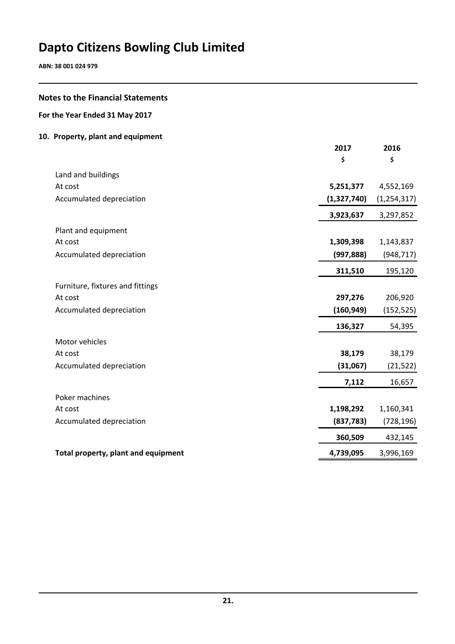**ABN: 38 001 024 979**

# **Notes to the Financial Statements**

### **For the Year Ended 31 May 2017**

# **10. Property, plant and equipment**

|                                     | 2017        | 2016          |
|-------------------------------------|-------------|---------------|
|                                     | \$          | \$            |
| Land and buildings                  |             |               |
| At cost                             | 5,251,377   | 4,552,169     |
| Accumulated depreciation            | (1,327,740) | (1, 254, 317) |
|                                     | 3,923,637   | 3,297,852     |
| Plant and equipment                 |             |               |
| At cost                             | 1,309,398   | 1,143,837     |
| Accumulated depreciation            | (997, 888)  | (948, 717)    |
|                                     | 311,510     | 195,120       |
| Furniture, fixtures and fittings    |             |               |
| At cost                             | 297,276     | 206,920       |
| Accumulated depreciation            | (160, 949)  | (152, 525)    |
|                                     | 136,327     | 54,395        |
| Motor vehicles                      |             |               |
| At cost                             | 38,179      | 38,179        |
| Accumulated depreciation            | (31,067)    | (21, 522)     |
|                                     | 7,112       | 16,657        |
| Poker machines                      |             |               |
| At cost                             | 1,198,292   | 1,160,341     |
| Accumulated depreciation            | (837,783)   | (728, 196)    |
|                                     | 360,509     | 432,145       |
| Total property, plant and equipment | 4,739,095   | 3,996,169     |
|                                     |             |               |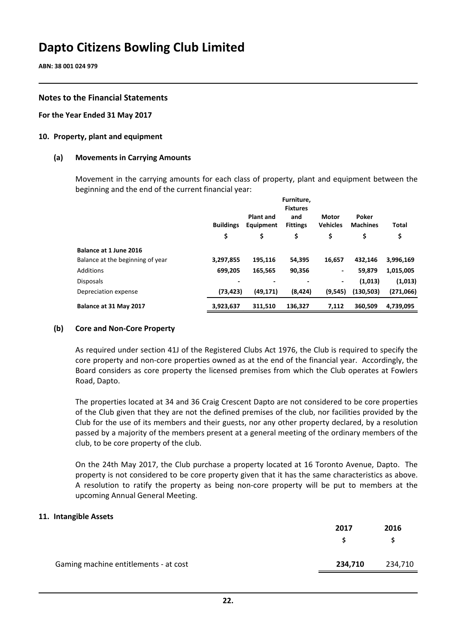**ABN: 38 001 024 979**

# **Notes to the Financial Statements**

#### **For the Year Ended 31 May 2017**

#### **10. Property, plant and equipment**

#### **(a) Movements in Carrying Amounts**

Movement in the carrying amounts for each class of property, plant and equipment between the beginning and the end of the current financial year:

|                                  |                  |                               | Furniture,<br><b>Fixtures</b> |                          |                          |              |
|----------------------------------|------------------|-------------------------------|-------------------------------|--------------------------|--------------------------|--------------|
|                                  | <b>Buildings</b> | <b>Plant and</b><br>Equipment | and<br><b>Fittings</b>        | Motor<br><b>Vehicles</b> | Poker<br><b>Machines</b> | <b>Total</b> |
|                                  | \$               | \$                            | \$                            | \$                       | \$                       | \$           |
| Balance at 1 June 2016           |                  |                               |                               |                          |                          |              |
| Balance at the beginning of year | 3,297,855        | 195,116                       | 54,395                        | 16,657                   | 432.146                  | 3,996,169    |
| Additions                        | 699,205          | 165,565                       | 90,356                        | $\blacksquare$           | 59,879                   | 1,015,005    |
| <b>Disposals</b>                 |                  | $\overline{\phantom{0}}$      |                               | ۰                        | (1,013)                  | (1,013)      |
| Depreciation expense             | (73, 423)        | (49, 171)                     | (8, 424)                      | (9,545)                  | (130, 503)               | (271,066)    |
| Balance at 31 May 2017           | 3,923,637        | 311,510                       | 136,327                       | 7,112                    | 360,509                  | 4,739,095    |

#### **(b) Core and Non-Core Property**

As required under section 41J of the Registered Clubs Act 1976, the Club is required to specify the core property and non-core properties owned as at the end of the financial year. Accordingly, the Board considers as core property the licensed premises from which the Club operates at Fowlers Road, Dapto.

The properties located at 34 and 36 Craig Crescent Dapto are not considered to be core properties of the Club given that they are not the defined premises of the club, nor facilities provided by the Club for the use of its members and their guests, nor any other property declared, by a resolution passed by a majority of the members present at a general meeting of the ordinary members of the club, to be core property of the club.

On the 24th May 2017, the Club purchase a property located at 16 Toronto Avenue, Dapto. The property is not considered to be core property given that it has the same characteristics as above. A resolution to ratify the property as being non-core property will be put to members at the upcoming Annual General Meeting.

#### **11. Intangible Assets**

| - S<br>Gaming machine entitlements - at cost<br>234,710 | 2017 | 2016    |
|---------------------------------------------------------|------|---------|
|                                                         |      |         |
|                                                         |      | 234,710 |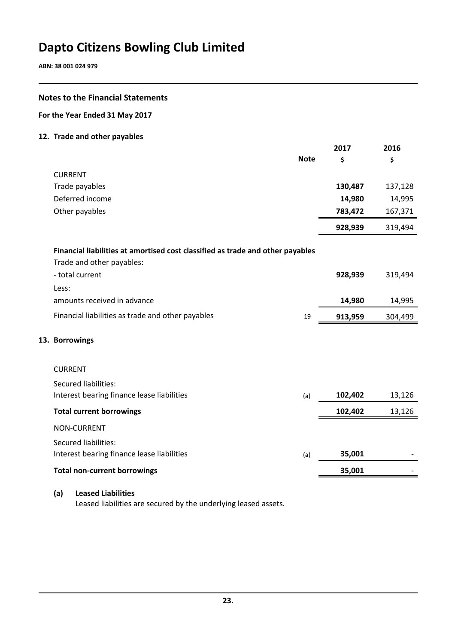**ABN: 38 001 024 979**

# **Notes to the Financial Statements**

# **For the Year Ended 31 May 2017**

# **12. Trade and other payables**

|                                                                                | 2017    | 2016    |
|--------------------------------------------------------------------------------|---------|---------|
| <b>Note</b>                                                                    | \$      | Ś       |
| <b>CURRENT</b>                                                                 |         |         |
| Trade payables                                                                 | 130,487 | 137,128 |
| Deferred income                                                                | 14,980  | 14,995  |
| Other payables                                                                 | 783,472 | 167,371 |
|                                                                                | 928,939 | 319,494 |
| Financial liabilities at amortised cost classified as trade and other payables |         |         |
| Trade and other payables:                                                      |         |         |
| - total current                                                                | 928,939 | 319,494 |
| Less:                                                                          |         |         |
| amounts received in advance                                                    | 14,980  | 14,995  |
| Financial liabilities as trade and other payables<br>19                        | 913,959 | 304,499 |
| 13. Borrowings                                                                 |         |         |
| <b>CURRENT</b>                                                                 |         |         |
| Secured liabilities:                                                           |         |         |
| Interest bearing finance lease liabilities<br>(a)                              | 102,402 | 13,126  |
| <b>Total current borrowings</b>                                                | 102,402 | 13,126  |
| NON-CURRENT                                                                    |         |         |
| Secured liabilities:                                                           |         |         |
| Interest bearing finance lease liabilities<br>(a)                              | 35,001  |         |
| <b>Total non-current borrowings</b>                                            | 35,001  |         |
| <b>Leased Liabilities</b><br>(a)                                               |         |         |

Leased liabilities are secured by the underlying leased assets.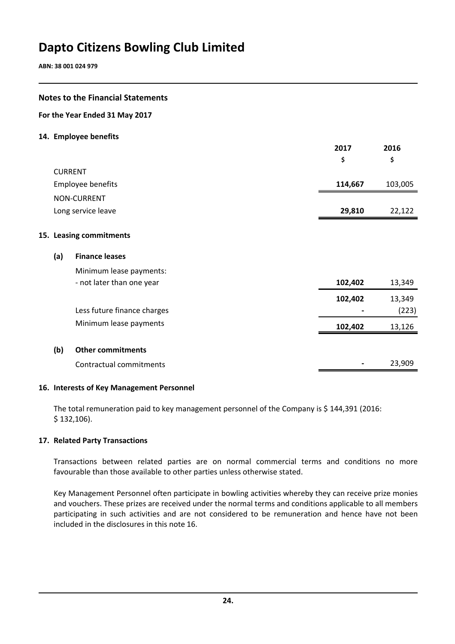**ABN: 38 001 024 979**

# **Notes to the Financial Statements**

### **For the Year Ended 31 May 2017**

**14. Employee benefits**

|                    | 2017    | 2016    |
|--------------------|---------|---------|
|                    | S       | Ŝ       |
| <b>CURRENT</b>     |         |         |
| Employee benefits  | 114,667 | 103,005 |
| NON-CURRENT        |         |         |
| Long service leave | 29,810  | 22,122  |

#### **15. Leasing commitments**

#### **(a) Finance leases**

|     | Minimum lease payments:     |         |        |
|-----|-----------------------------|---------|--------|
|     | - not later than one year   | 102,402 | 13,349 |
|     |                             | 102,402 | 13,349 |
|     | Less future finance charges |         | (223)  |
|     | Minimum lease payments      | 102,402 | 13,126 |
| (b) | <b>Other commitments</b>    |         |        |
|     | Contractual commitments     |         | 23,909 |

#### **16. Interests of Key Management Personnel**

The total remuneration paid to key management personnel of the Company is \$ 144,391 (2016: \$ 132,106).

# **17. Related Party Transactions**

Transactions between related parties are on normal commercial terms and conditions no more favourable than those available to other parties unless otherwise stated.

Key Management Personnel often participate in bowling activities whereby they can receive prize monies and vouchers. These prizes are received under the normal terms and conditions applicable to all members participating in such activities and are not considered to be remuneration and hence have not been included in the disclosures in this note 16.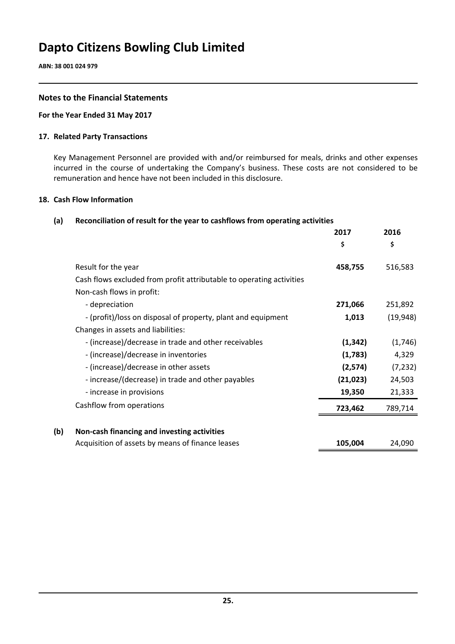**ABN: 38 001 024 979**

# **Notes to the Financial Statements**

### **For the Year Ended 31 May 2017**

#### **17. Related Party Transactions**

Key Management Personnel are provided with and/or reimbursed for meals, drinks and other expenses incurred in the course of undertaking the Company's business. These costs are not considered to be remuneration and hence have not been included in this disclosure.

#### **18. Cash Flow Information**

# **(a) Reconciliation of result for the year to cashflows from operating activities**

|     |                                                                      | 2017      | 2016      |
|-----|----------------------------------------------------------------------|-----------|-----------|
|     |                                                                      | \$        | \$        |
|     | Result for the year                                                  | 458,755   | 516,583   |
|     | Cash flows excluded from profit attributable to operating activities |           |           |
|     | Non-cash flows in profit:                                            |           |           |
|     | - depreciation                                                       | 271,066   | 251,892   |
|     | - (profit)/loss on disposal of property, plant and equipment         | 1,013     | (19, 948) |
|     | Changes in assets and liabilities:                                   |           |           |
|     | - (increase)/decrease in trade and other receivables                 | (1, 342)  | (1,746)   |
|     | - (increase)/decrease in inventories                                 | (1,783)   | 4,329     |
|     | - (increase)/decrease in other assets                                | (2,574)   | (7, 232)  |
|     | - increase/(decrease) in trade and other payables                    | (21, 023) | 24,503    |
|     | - increase in provisions                                             | 19,350    | 21,333    |
|     | Cashflow from operations                                             | 723,462   | 789,714   |
|     |                                                                      |           |           |
| (b) | Non-cash financing and investing activities                          |           |           |
|     | Acquisition of assets by means of finance leases                     | 105,004   | 24,090    |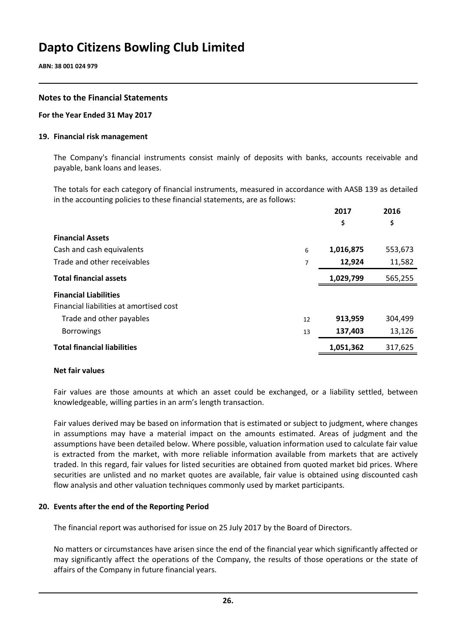**ABN: 38 001 024 979**

# **Notes to the Financial Statements**

#### **For the Year Ended 31 May 2017**

#### **19. Financial risk management**

The Company's financial instruments consist mainly of deposits with banks, accounts receivable and payable, bank loans and leases.

The totals for each category of financial instruments, measured in accordance with AASB 139 as detailed in the accounting policies to these financial statements, are as follows:

|                                         |    | 2017      | 2016    |
|-----------------------------------------|----|-----------|---------|
|                                         |    | \$        | \$      |
| <b>Financial Assets</b>                 |    |           |         |
| Cash and cash equivalents               | 6  | 1,016,875 | 553,673 |
| Trade and other receivables             | 7  | 12,924    | 11,582  |
| <b>Total financial assets</b>           |    | 1,029,799 | 565,255 |
| <b>Financial Liabilities</b>            |    |           |         |
| Financial liabilities at amortised cost |    |           |         |
| Trade and other payables                | 12 | 913,959   | 304,499 |
| <b>Borrowings</b>                       | 13 | 137,403   | 13,126  |
| <b>Total financial liabilities</b>      |    | 1,051,362 | 317,625 |
|                                         |    |           |         |

#### **Net fair values**

Fair values are those amounts at which an asset could be exchanged, or a liability settled, between knowledgeable, willing parties in an arm's length transaction.

Fair values derived may be based on information that is estimated or subject to judgment, where changes in assumptions may have a material impact on the amounts estimated. Areas of judgment and the assumptions have been detailed below. Where possible, valuation information used to calculate fair value is extracted from the market, with more reliable information available from markets that are actively traded. In this regard, fair values for listed securities are obtained from quoted market bid prices. Where securities are unlisted and no market quotes are available, fair value is obtained using discounted cash flow analysis and other valuation techniques commonly used by market participants.

#### **20. Events after the end of the Reporting Period**

The financial report was authorised for issue on 25 July 2017 by the Board of Directors.

No matters or circumstances have arisen since the end of the financial year which significantly affected or may significantly affect the operations of the Company, the results of those operations or the state of affairs of the Company in future financial years.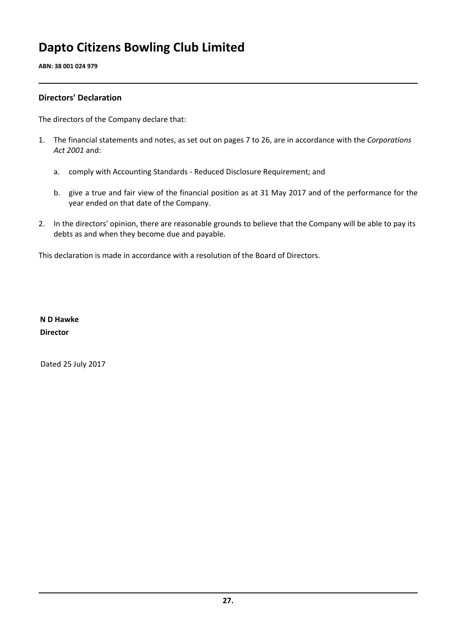**ABN: 38 001 024 979**

# **Directors' Declaration**

The directors of the Company declare that:

- 1. The financial statements and notes, as set out on pages 7 to 26, are in accordance with the *Corporations Act 2001* and:
	- a. comply with Accounting Standards Reduced Disclosure Requirement; and
	- b. give a true and fair view of the financial position as at 31 May 2017 and of the performance for the year ended on that date of the Company.
- 2. In the directors' opinion, there are reasonable grounds to believe that the Company will be able to pay its debts as and when they become due and payable.

This declaration is made in accordance with a resolution of the Board of Directors.

**N D Hawke Director**

Dated 25 July 2017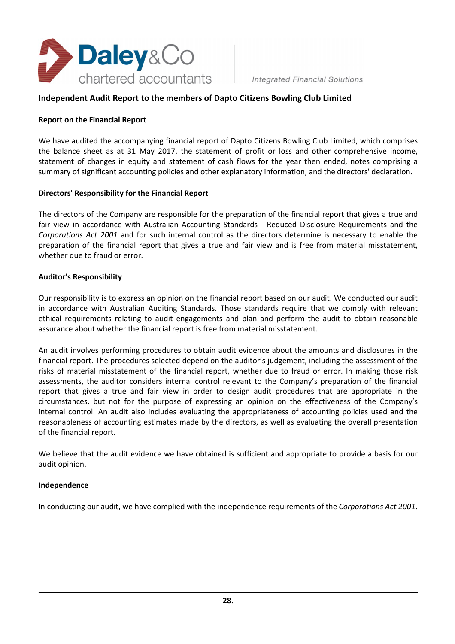

#### **Independent Audit Report to the members of Dapto Citizens Bowling Club Limited**

#### **Report on the Financial Report**

We have audited the accompanying financial report of Dapto Citizens Bowling Club Limited, which comprises the balance sheet as at 31 May 2017, the statement of profit or loss and other comprehensive income, statement of changes in equity and statement of cash flows for the year then ended, notes comprising a summary of significant accounting policies and other explanatory information, and the directors' declaration.

#### **Directors' Responsibility for the Financial Report**

The directors of the Company are responsible for the preparation of the financial report that gives a true and fair view in accordance with Australian Accounting Standards - Reduced Disclosure Requirements and the *Corporations Act 2001* and for such internal control as the directors determine is necessary to enable the preparation of the financial report that gives a true and fair view and is free from material misstatement, whether due to fraud or error.

#### **Auditor's Responsibility**

Our responsibility is to express an opinion on the financial report based on our audit. We conducted our audit in accordance with Australian Auditing Standards. Those standards require that we comply with relevant ethical requirements relating to audit engagements and plan and perform the audit to obtain reasonable assurance about whether the financial report is free from material misstatement.

An audit involves performing procedures to obtain audit evidence about the amounts and disclosures in the financial report. The procedures selected depend on the auditor's judgement, including the assessment of the risks of material misstatement of the financial report, whether due to fraud or error. In making those risk assessments, the auditor considers internal control relevant to the Company's preparation of the financial report that gives a true and fair view in order to design audit procedures that are appropriate in the circumstances, but not for the purpose of expressing an opinion on the effectiveness of the Company's internal control. An audit also includes evaluating the appropriateness of accounting policies used and the reasonableness of accounting estimates made by the directors, as well as evaluating the overall presentation of the financial report.

We believe that the audit evidence we have obtained is sufficient and appropriate to provide a basis for our audit opinion.

#### **Independence**

In conducting our audit, we have complied with the independence requirements of the *Corporations Act 2001*.